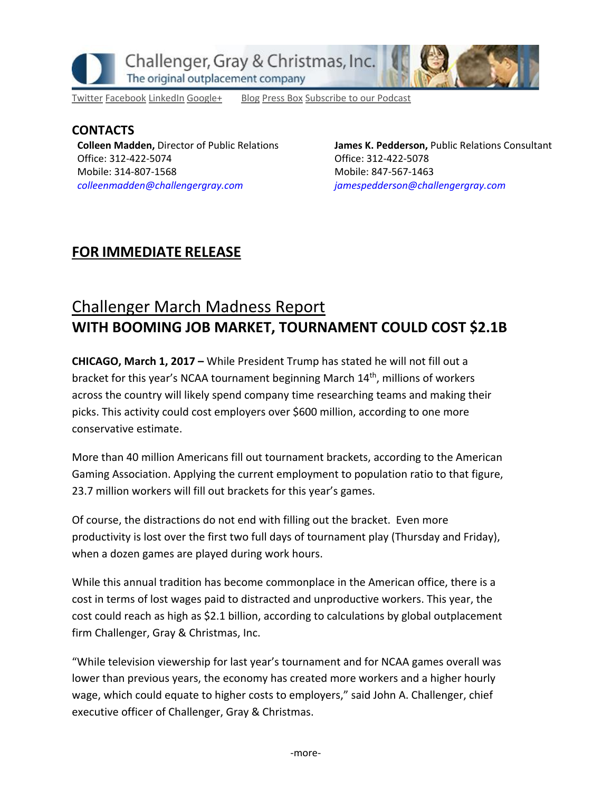

[Twitter](https://twitter.com/#!/ChallengerGray) [Facebook](https://www.facebook.com/ChallengerGray) [LinkedIn](http://www.linkedin.com/company/28264?trk=tyah) [Google+](https://plus.google.com/b/114363499979264115698/114363499979264115698) [Blog](http://www.challengergray.com/press/blog) [Press](http://www.challengergray.com/press/press-releases) Box [Subscribe](https://itunes.apple.com/us/podcast/challenger-podcast-hr-passport/id1155541697?mt=2) to our Podcast

### **CONTACTS Colleen Madden,** Director of Public Relations Office: 312-422-5074 Mobile: 314-807-1568 *[colleenmadden@challengergray.com](mailto:colleenmadden@challengergray.com)*

**James K. Pedderson,** Public Relations Consultant Office: 312-422-5078 Mobile: 847-567-1463 *[jamespedderson@challengergray.com](mailto:jamespedderson@challengergray.com)*

## **FOR IMMEDIATE RELEASE**

# Challenger March Madness Report **WITH BOOMING JOB MARKET, TOURNAMENT COULD COST \$2.1B**

**CHICAGO, March 1, 2017 –** While President Trump has stated he will not fill out a bracket for this year's NCAA tournament beginning March 14<sup>th</sup>, millions of workers across the country will likely spend company time researching teams and making their picks. This activity could cost employers over \$600 million, according to one more conservative estimate.

More than 40 million Americans fill out tournament brackets, according to the American Gaming Association. Applying the current employment to population ratio to that figure, 23.7 million workers will fill out brackets for this year's games.

Of course, the distractions do not end with filling out the bracket. Even more productivity is lost over the first two full days of tournament play (Thursday and Friday), when a dozen games are played during work hours.

While this annual tradition has become commonplace in the American office, there is a cost in terms of lost wages paid to distracted and unproductive workers. This year, the cost could reach as high as \$2.1 billion, according to calculations by global outplacement firm Challenger, Gray & Christmas, Inc.

"While television viewership for last year's tournament and for NCAA games overall was lower than previous years, the economy has created more workers and a higher hourly wage, which could equate to higher costs to employers," said John A. Challenger, chief executive officer of Challenger, Gray & Christmas.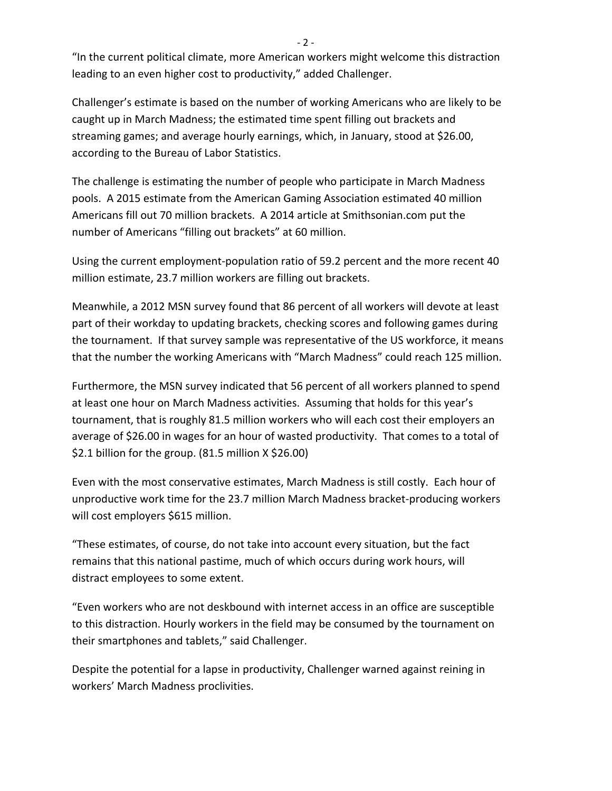"In the current political climate, more American workers might welcome this distraction leading to an even higher cost to productivity," added Challenger.

Challenger's estimate is based on the number of working Americans who are likely to be caught up in March Madness; the estimated time spent filling out brackets and streaming games; and average hourly earnings, which, in January, stood at \$26.00, according to the Bureau of Labor Statistics.

The challenge is estimating the number of people who participate in March Madness pools. A 2015 estimate from the American Gaming Association estimated 40 million Americans fill out 70 million brackets. A 2014 article at Smithsonian.com put the number of Americans "filling out brackets" at 60 million.

Using the current employment-population ratio of 59.2 percent and the more recent 40 million estimate, 23.7 million workers are filling out brackets.

Meanwhile, a 2012 MSN survey found that 86 percent of all workers will devote at least part of their workday to updating brackets, checking scores and following games during the tournament. If that survey sample was representative of the US workforce, it means that the number the working Americans with "March Madness" could reach 125 million.

Furthermore, the MSN survey indicated that 56 percent of all workers planned to spend at least one hour on March Madness activities. Assuming that holds for this year's tournament, that is roughly 81.5 million workers who will each cost their employers an average of \$26.00 in wages for an hour of wasted productivity. That comes to a total of \$2.1 billion for the group.  $(81.5 \text{ million X } $26.00)$ 

Even with the most conservative estimates, March Madness is still costly. Each hour of unproductive work time for the 23.7 million March Madness bracket-producing workers will cost employers \$615 million.

"These estimates, of course, do not take into account every situation, but the fact remains that this national pastime, much of which occurs during work hours, will distract employees to some extent.

"Even workers who are not deskbound with internet access in an office are susceptible to this distraction. Hourly workers in the field may be consumed by the tournament on their smartphones and tablets," said Challenger.

Despite the potential for a lapse in productivity, Challenger warned against reining in workers' March Madness proclivities.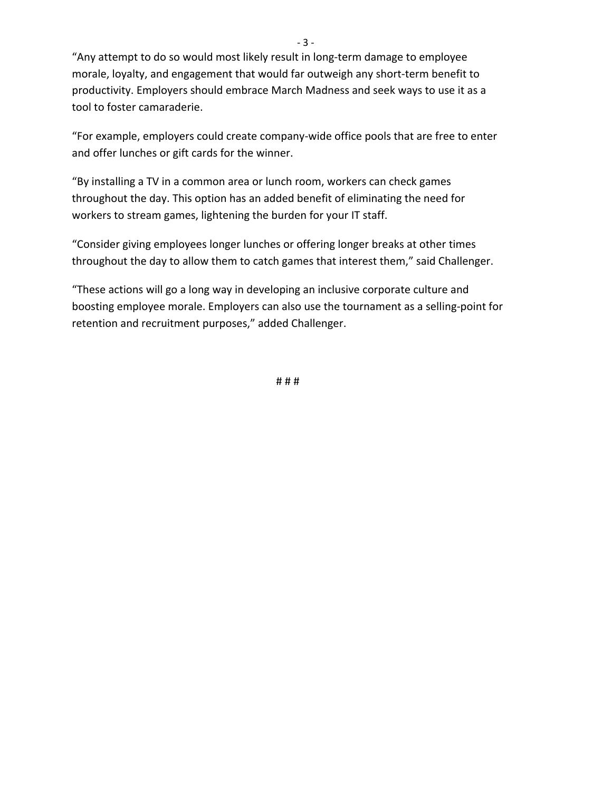"Any attempt to do so would most likely result in long-term damage to employee morale, loyalty, and engagement that would far outweigh any short-term benefit to productivity. Employers should embrace March Madness and seek ways to use it as a tool to foster camaraderie.

"For example, employers could create company-wide office pools that are free to enter and offer lunches or gift cards for the winner.

"By installing a TV in a common area or lunch room, workers can check games throughout the day. This option has an added benefit of eliminating the need for workers to stream games, lightening the burden for your IT staff.

"Consider giving employees longer lunches or offering longer breaks at other times throughout the day to allow them to catch games that interest them," said Challenger.

"These actions will go a long way in developing an inclusive corporate culture and boosting employee morale. Employers can also use the tournament as a selling-point for retention and recruitment purposes," added Challenger.

# # #